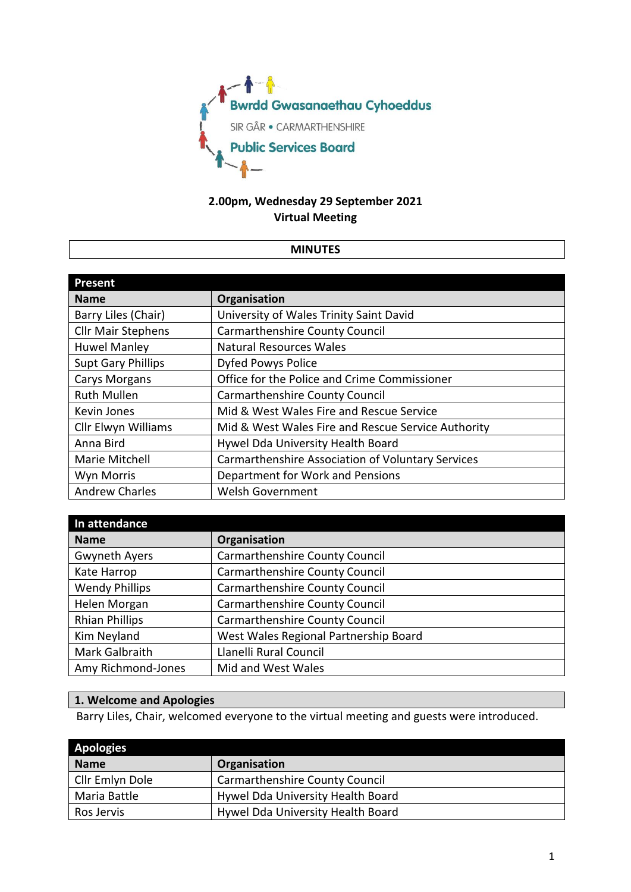

# **2.00pm, Wednesday 29 September 2021 Virtual Meeting**

### **MINUTES**

| <b>Present</b>            |                                                    |
|---------------------------|----------------------------------------------------|
| <b>Name</b>               | Organisation                                       |
| Barry Liles (Chair)       | University of Wales Trinity Saint David            |
| <b>Cllr Mair Stephens</b> | <b>Carmarthenshire County Council</b>              |
| <b>Huwel Manley</b>       | <b>Natural Resources Wales</b>                     |
| <b>Supt Gary Phillips</b> | Dyfed Powys Police                                 |
| <b>Carys Morgans</b>      | Office for the Police and Crime Commissioner       |
| <b>Ruth Mullen</b>        | <b>Carmarthenshire County Council</b>              |
| Kevin Jones               | Mid & West Wales Fire and Rescue Service           |
| Cllr Elwyn Williams       | Mid & West Wales Fire and Rescue Service Authority |
| Anna Bird                 | Hywel Dda University Health Board                  |
| Marie Mitchell            | Carmarthenshire Association of Voluntary Services  |
| Wyn Morris                | Department for Work and Pensions                   |
| <b>Andrew Charles</b>     | <b>Welsh Government</b>                            |

| In attendance         |                                       |
|-----------------------|---------------------------------------|
| <b>Name</b>           | Organisation                          |
| <b>Gwyneth Ayers</b>  | Carmarthenshire County Council        |
| Kate Harrop           | Carmarthenshire County Council        |
| <b>Wendy Phillips</b> | Carmarthenshire County Council        |
| Helen Morgan          | <b>Carmarthenshire County Council</b> |
| <b>Rhian Phillips</b> | Carmarthenshire County Council        |
| Kim Neyland           | West Wales Regional Partnership Board |
| Mark Galbraith        | Llanelli Rural Council                |
| Amy Richmond-Jones    | Mid and West Wales                    |

## **1. Welcome and Apologies**

Barry Liles, Chair, welcomed everyone to the virtual meeting and guests were introduced.

| Apologies       |                                       |
|-----------------|---------------------------------------|
| <b>Name</b>     | Organisation                          |
| Cllr Emlyn Dole | <b>Carmarthenshire County Council</b> |
| Maria Battle    | Hywel Dda University Health Board     |
| Ros Jervis      | Hywel Dda University Health Board     |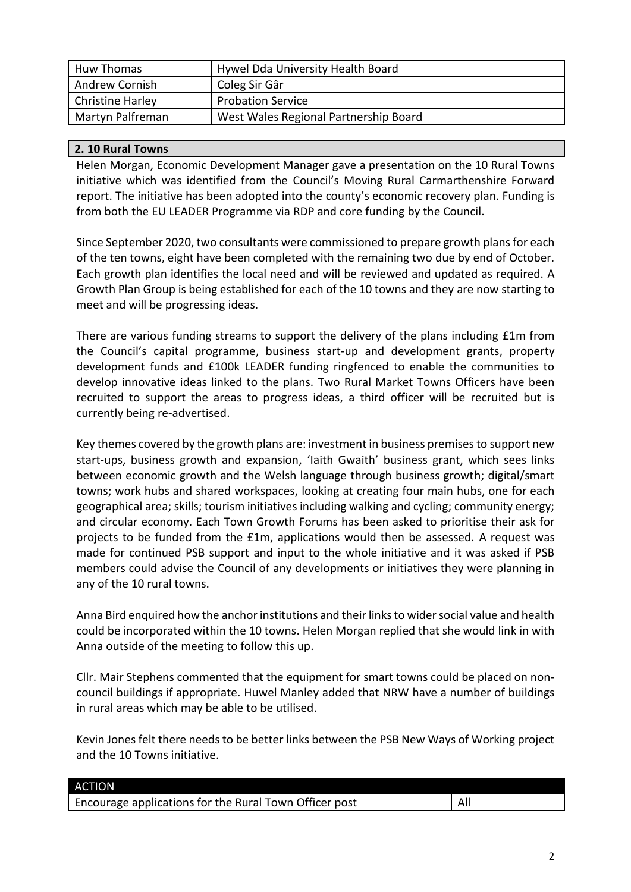| Huw Thomas       | Hywel Dda University Health Board     |
|------------------|---------------------------------------|
| Andrew Cornish   | Coleg Sir Gâr                         |
| Christine Harley | <b>Probation Service</b>              |
| Martyn Palfreman | West Wales Regional Partnership Board |

## **2. 10 Rural Towns**

Helen Morgan, Economic Development Manager gave a presentation on the 10 Rural Towns initiative which was identified from the Council's Moving Rural Carmarthenshire Forward report. The initiative has been adopted into the county's economic recovery plan. Funding is from both the EU LEADER Programme via RDP and core funding by the Council.

Since September 2020, two consultants were commissioned to prepare growth plans for each of the ten towns, eight have been completed with the remaining two due by end of October. Each growth plan identifies the local need and will be reviewed and updated as required. A Growth Plan Group is being established for each of the 10 towns and they are now starting to meet and will be progressing ideas.

There are various funding streams to support the delivery of the plans including £1m from the Council's capital programme, business start-up and development grants, property development funds and £100k LEADER funding ringfenced to enable the communities to develop innovative ideas linked to the plans. Two Rural Market Towns Officers have been recruited to support the areas to progress ideas, a third officer will be recruited but is currently being re-advertised.

Key themes covered by the growth plans are: investment in business premises to support new start-ups, business growth and expansion, 'Iaith Gwaith' business grant, which sees links between economic growth and the Welsh language through business growth; digital/smart towns; work hubs and shared workspaces, looking at creating four main hubs, one for each geographical area; skills; tourism initiatives including walking and cycling; community energy; and circular economy. Each Town Growth Forums has been asked to prioritise their ask for projects to be funded from the £1m, applications would then be assessed. A request was made for continued PSB support and input to the whole initiative and it was asked if PSB members could advise the Council of any developments or initiatives they were planning in any of the 10 rural towns.

Anna Bird enquired how the anchor institutions and their linksto wider social value and health could be incorporated within the 10 towns. Helen Morgan replied that she would link in with Anna outside of the meeting to follow this up.

Cllr. Mair Stephens commented that the equipment for smart towns could be placed on noncouncil buildings if appropriate. Huwel Manley added that NRW have a number of buildings in rural areas which may be able to be utilised.

Kevin Jones felt there needs to be better links between the PSB New Ways of Working project and the 10 Towns initiative.

| <b>ACTION</b>                                          |     |
|--------------------------------------------------------|-----|
| Encourage applications for the Rural Town Officer post | All |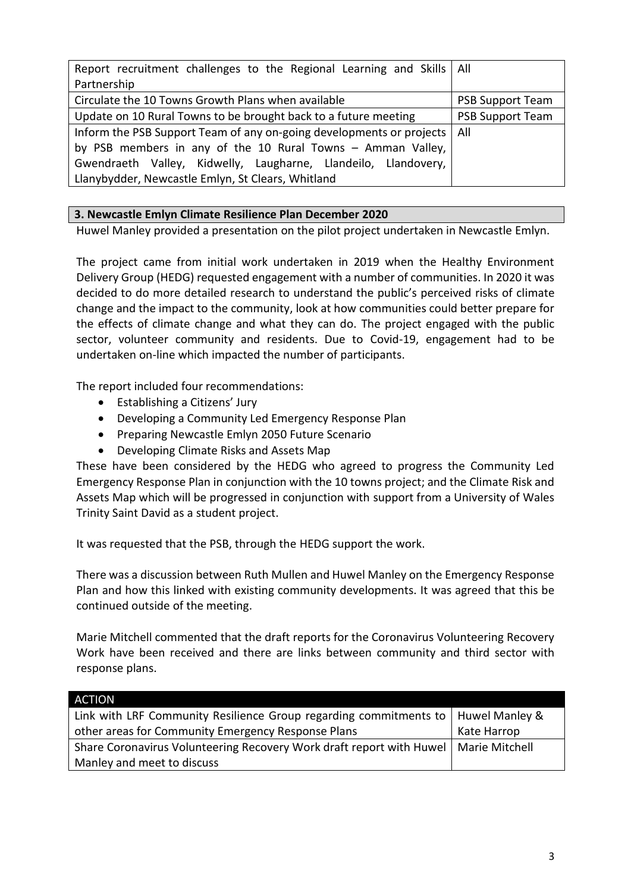| Report recruitment challenges to the Regional Learning and Skills   All |                         |
|-------------------------------------------------------------------------|-------------------------|
| Partnership                                                             |                         |
| Circulate the 10 Towns Growth Plans when available                      | <b>PSB Support Team</b> |
| Update on 10 Rural Towns to be brought back to a future meeting         | <b>PSB Support Team</b> |
| Inform the PSB Support Team of any on-going developments or projects    | All                     |
| by PSB members in any of the 10 Rural Towns - Amman Valley,             |                         |
| Gwendraeth Valley, Kidwelly, Laugharne, Llandeilo, Llandovery,          |                         |
| Llanybydder, Newcastle Emlyn, St Clears, Whitland                       |                         |

## **3. Newcastle Emlyn Climate Resilience Plan December 2020**

Huwel Manley provided a presentation on the pilot project undertaken in Newcastle Emlyn.

The project came from initial work undertaken in 2019 when the Healthy Environment Delivery Group (HEDG) requested engagement with a number of communities. In 2020 it was decided to do more detailed research to understand the public's perceived risks of climate change and the impact to the community, look at how communities could better prepare for the effects of climate change and what they can do. The project engaged with the public sector, volunteer community and residents. Due to Covid-19, engagement had to be undertaken on-line which impacted the number of participants.

The report included four recommendations:

- Establishing a Citizens' Jury
- Developing a Community Led Emergency Response Plan
- Preparing Newcastle Emlyn 2050 Future Scenario
- Developing Climate Risks and Assets Map

These have been considered by the HEDG who agreed to progress the Community Led Emergency Response Plan in conjunction with the 10 towns project; and the Climate Risk and Assets Map which will be progressed in conjunction with support from a University of Wales Trinity Saint David as a student project.

It was requested that the PSB, through the HEDG support the work.

There was a discussion between Ruth Mullen and Huwel Manley on the Emergency Response Plan and how this linked with existing community developments. It was agreed that this be continued outside of the meeting.

Marie Mitchell commented that the draft reports for the Coronavirus Volunteering Recovery Work have been received and there are links between community and third sector with response plans.

| ACTION                                                               |                |
|----------------------------------------------------------------------|----------------|
| Link with LRF Community Resilience Group regarding commitments to    | Huwel Manley & |
| other areas for Community Emergency Response Plans                   | Kate Harrop    |
| Share Coronavirus Volunteering Recovery Work draft report with Huwel | Marie Mitchell |
| Manley and meet to discuss                                           |                |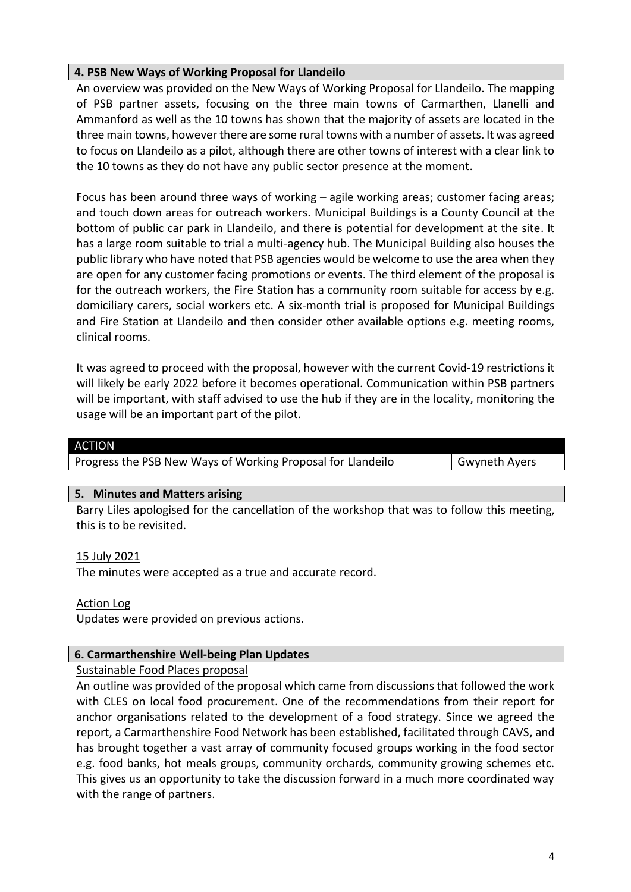## **4. PSB New Ways of Working Proposal for Llandeilo**

An overview was provided on the New Ways of Working Proposal for Llandeilo. The mapping of PSB partner assets, focusing on the three main towns of Carmarthen, Llanelli and Ammanford as well as the 10 towns has shown that the majority of assets are located in the three main towns, however there are some rural towns with a number of assets. It was agreed to focus on Llandeilo as a pilot, although there are other towns of interest with a clear link to the 10 towns as they do not have any public sector presence at the moment.

Focus has been around three ways of working – agile working areas; customer facing areas; and touch down areas for outreach workers. Municipal Buildings is a County Council at the bottom of public car park in Llandeilo, and there is potential for development at the site. It has a large room suitable to trial a multi-agency hub. The Municipal Building also houses the public library who have noted that PSB agencies would be welcome to use the area when they are open for any customer facing promotions or events. The third element of the proposal is for the outreach workers, the Fire Station has a community room suitable for access by e.g. domiciliary carers, social workers etc. A six-month trial is proposed for Municipal Buildings and Fire Station at Llandeilo and then consider other available options e.g. meeting rooms, clinical rooms.

It was agreed to proceed with the proposal, however with the current Covid-19 restrictions it will likely be early 2022 before it becomes operational. Communication within PSB partners will be important, with staff advised to use the hub if they are in the locality, monitoring the usage will be an important part of the pilot.

| ACTION                                                      |                      |
|-------------------------------------------------------------|----------------------|
| Progress the PSB New Ways of Working Proposal for Llandeilo | <b>Gwyneth Ayers</b> |
|                                                             |                      |

#### **5. Minutes and Matters arising**

Barry Liles apologised for the cancellation of the workshop that was to follow this meeting, this is to be revisited.

### 15 July 2021

The minutes were accepted as a true and accurate record.

Action Log

Updates were provided on previous actions.

### **6. Carmarthenshire Well-being Plan Updates**

### Sustainable Food Places proposal

An outline was provided of the proposal which came from discussions that followed the work with CLES on local food procurement. One of the recommendations from their report for anchor organisations related to the development of a food strategy. Since we agreed the report, a Carmarthenshire Food Network has been established, facilitated through CAVS, and has brought together a vast array of community focused groups working in the food sector e.g. food banks, hot meals groups, community orchards, community growing schemes etc. This gives us an opportunity to take the discussion forward in a much more coordinated way with the range of partners.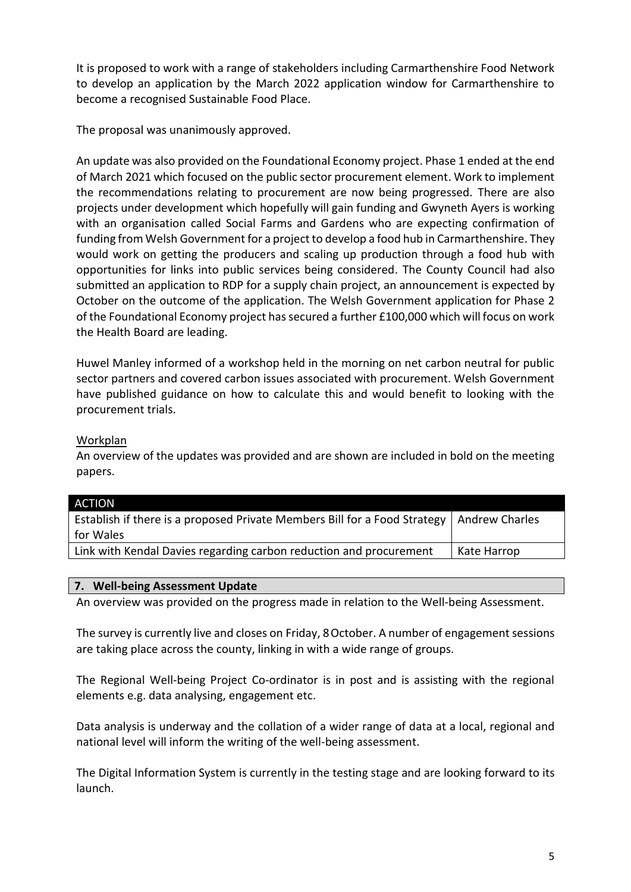It is proposed to work with a range of stakeholders including Carmarthenshire Food Network to develop an application by the March 2022 application window for Carmarthenshire to become a recognised Sustainable Food Place.

The proposal was unanimously approved.

An update was also provided on the Foundational Economy project. Phase 1 ended at the end of March 2021 which focused on the public sector procurement element. Work to implement the recommendations relating to procurement are now being progressed. There are also projects under development which hopefully will gain funding and Gwyneth Ayers is working with an organisation called Social Farms and Gardens who are expecting confirmation of funding from Welsh Government for a project to develop a food hub in Carmarthenshire. They would work on getting the producers and scaling up production through a food hub with opportunities for links into public services being considered. The County Council had also submitted an application to RDP for a supply chain project, an announcement is expected by October on the outcome of the application. The Welsh Government application for Phase 2 of the Foundational Economy project has secured a further £100,000 which will focus on work the Health Board are leading.

Huwel Manley informed of a workshop held in the morning on net carbon neutral for public sector partners and covered carbon issues associated with procurement. Welsh Government have published guidance on how to calculate this and would benefit to looking with the procurement trials.

## Workplan

An overview of the updates was provided and are shown are included in bold on the meeting papers.

| ACTION                                                                    |                       |
|---------------------------------------------------------------------------|-----------------------|
| Establish if there is a proposed Private Members Bill for a Food Strategy | <b>Andrew Charles</b> |
| for Wales                                                                 |                       |
| Link with Kendal Davies regarding carbon reduction and procurement        | Kate Harrop           |
|                                                                           |                       |

### **7. Well-being Assessment Update**

An overview was provided on the progress made in relation to the Well-being Assessment.

The survey is currently live and closes on Friday, 8 October. A number of engagement sessions are taking place across the county, linking in with a wide range of groups.

The Regional Well-being Project Co-ordinator is in post and is assisting with the regional elements e.g. data analysing, engagement etc.

Data analysis is underway and the collation of a wider range of data at a local, regional and national level will inform the writing of the well-being assessment.

The Digital Information System is currently in the testing stage and are looking forward to its launch.